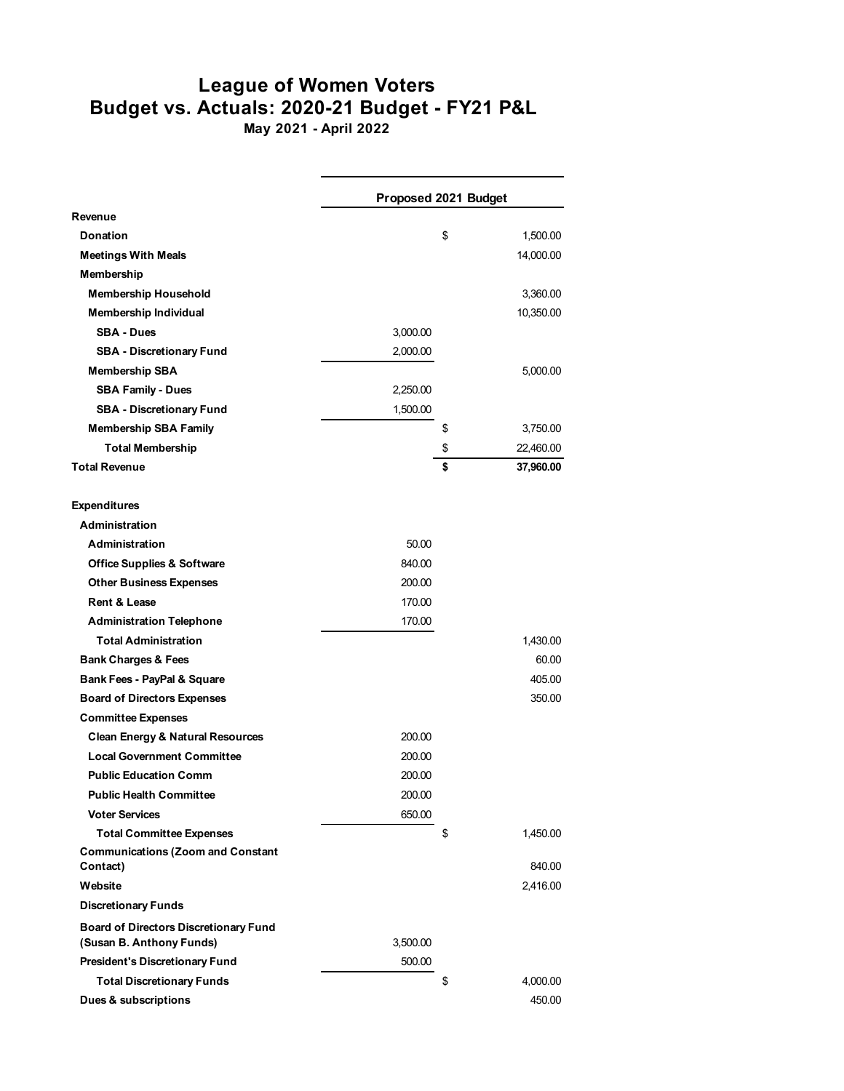## **League of Women Voters Budget vs. Actuals: 2020-21 Budget - FY21 P&L**

**May 2021 - April 2022**

|                                                                          | Proposed 2021 Budget |    |           |
|--------------------------------------------------------------------------|----------------------|----|-----------|
| Revenue                                                                  |                      |    |           |
| Donation                                                                 |                      | \$ | 1,500.00  |
| <b>Meetings With Meals</b>                                               |                      |    | 14,000.00 |
| Membership                                                               |                      |    |           |
| <b>Membership Household</b>                                              |                      |    | 3,360.00  |
| Membership Individual                                                    |                      |    | 10,350.00 |
| <b>SBA - Dues</b>                                                        | 3,000.00             |    |           |
| <b>SBA - Discretionary Fund</b>                                          | 2,000.00             |    |           |
| <b>Membership SBA</b>                                                    |                      |    | 5,000.00  |
| <b>SBA Family - Dues</b>                                                 | 2,250.00             |    |           |
| <b>SBA - Discretionary Fund</b>                                          | 1,500.00             |    |           |
| <b>Membership SBA Family</b>                                             |                      | \$ | 3,750.00  |
| <b>Total Membership</b>                                                  |                      | \$ | 22,460.00 |
| <b>Total Revenue</b>                                                     |                      | \$ | 37,960.00 |
| <b>Expenditures</b>                                                      |                      |    |           |
| Administration                                                           |                      |    |           |
| <b>Administration</b>                                                    | 50.00                |    |           |
| <b>Office Supplies &amp; Software</b>                                    | 840.00               |    |           |
| <b>Other Business Expenses</b>                                           | 200.00               |    |           |
| <b>Rent &amp; Lease</b>                                                  | 170.00               |    |           |
| <b>Administration Telephone</b>                                          | 170.00               |    |           |
| <b>Total Administration</b>                                              |                      |    | 1,430.00  |
| <b>Bank Charges &amp; Fees</b>                                           |                      |    | 60.00     |
| Bank Fees - PayPal & Square                                              |                      |    | 405.00    |
| <b>Board of Directors Expenses</b>                                       |                      |    | 350.00    |
| <b>Committee Expenses</b>                                                |                      |    |           |
| <b>Clean Energy &amp; Natural Resources</b>                              | 200.00               |    |           |
| <b>Local Government Committee</b>                                        | 200.00               |    |           |
| <b>Public Education Comm</b>                                             | 200.00               |    |           |
| <b>Public Health Committee</b>                                           | 200.00               |    |           |
| <b>Voter Services</b>                                                    | 650.00               |    |           |
| <b>Total Committee Expenses</b>                                          |                      | \$ | 1,450.00  |
| <b>Communications (Zoom and Constant</b><br>Contact)                     |                      |    | 840.00    |
| Website                                                                  |                      |    | 2,416.00  |
| <b>Discretionary Funds</b>                                               |                      |    |           |
| <b>Board of Directors Discretionary Fund</b><br>(Susan B. Anthony Funds) | 3,500.00             |    |           |
| <b>President's Discretionary Fund</b>                                    | 500.00               |    |           |
| <b>Total Discretionary Funds</b>                                         |                      | \$ | 4,000.00  |
| Dues & subscriptions                                                     |                      |    | 450.00    |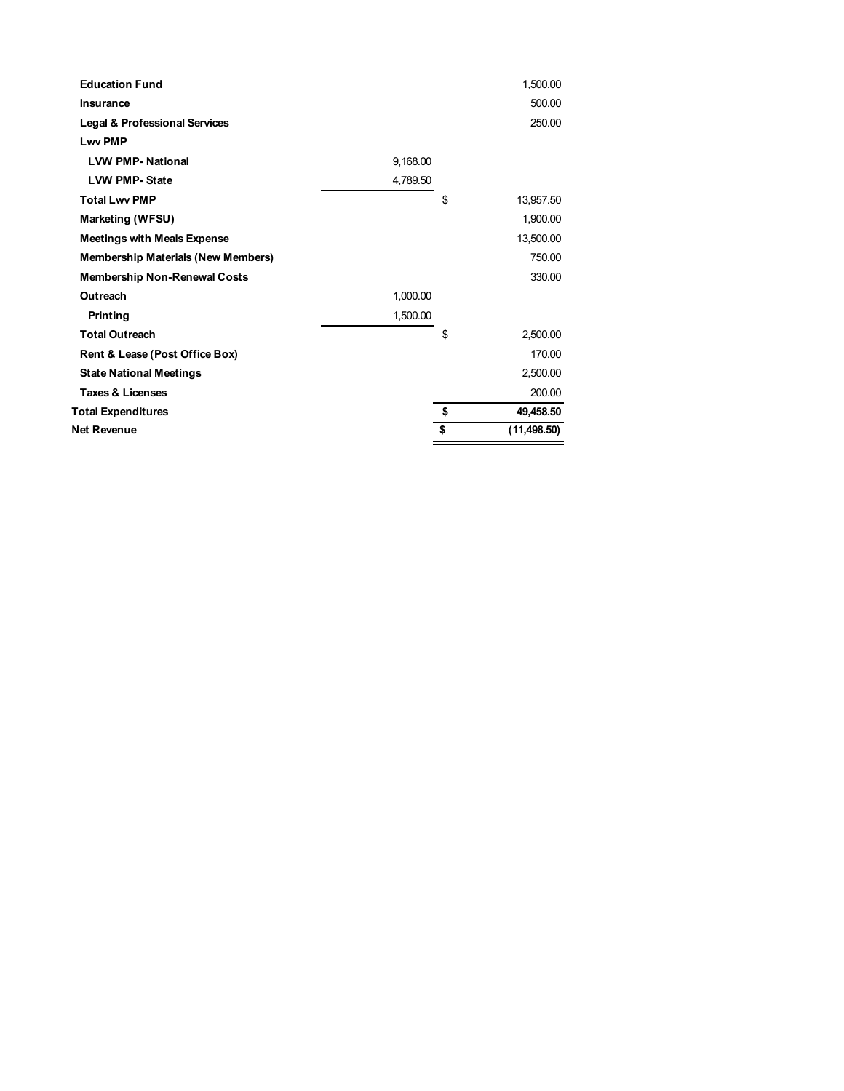| <b>Education Fund</b>                     |          | 1,500.00           |
|-------------------------------------------|----------|--------------------|
| <b>Insurance</b>                          |          | 500.00             |
| <b>Legal &amp; Professional Services</b>  |          | 250.00             |
| <b>Lwy PMP</b>                            |          |                    |
| <b>LVW PMP-National</b>                   | 9,168.00 |                    |
| <b>LVW PMP-State</b>                      | 4,789.50 |                    |
| <b>Total Lwv PMP</b>                      |          | \$<br>13,957.50    |
| Marketing (WFSU)                          |          | 1,900.00           |
| <b>Meetings with Meals Expense</b>        |          | 13,500.00          |
| <b>Membership Materials (New Members)</b> |          | 750.00             |
| <b>Membership Non-Renewal Costs</b>       |          | 330.00             |
| Outreach                                  | 1,000.00 |                    |
| Printing                                  | 1,500.00 |                    |
| <b>Total Outreach</b>                     |          | \$<br>2,500.00     |
| Rent & Lease (Post Office Box)            |          | 170.00             |
| <b>State National Meetings</b>            |          | 2,500.00           |
| <b>Taxes &amp; Licenses</b>               |          | 200.00             |
| <b>Total Expenditures</b>                 |          | \$<br>49,458.50    |
| Net Revenue                               |          | \$<br>(11, 498.50) |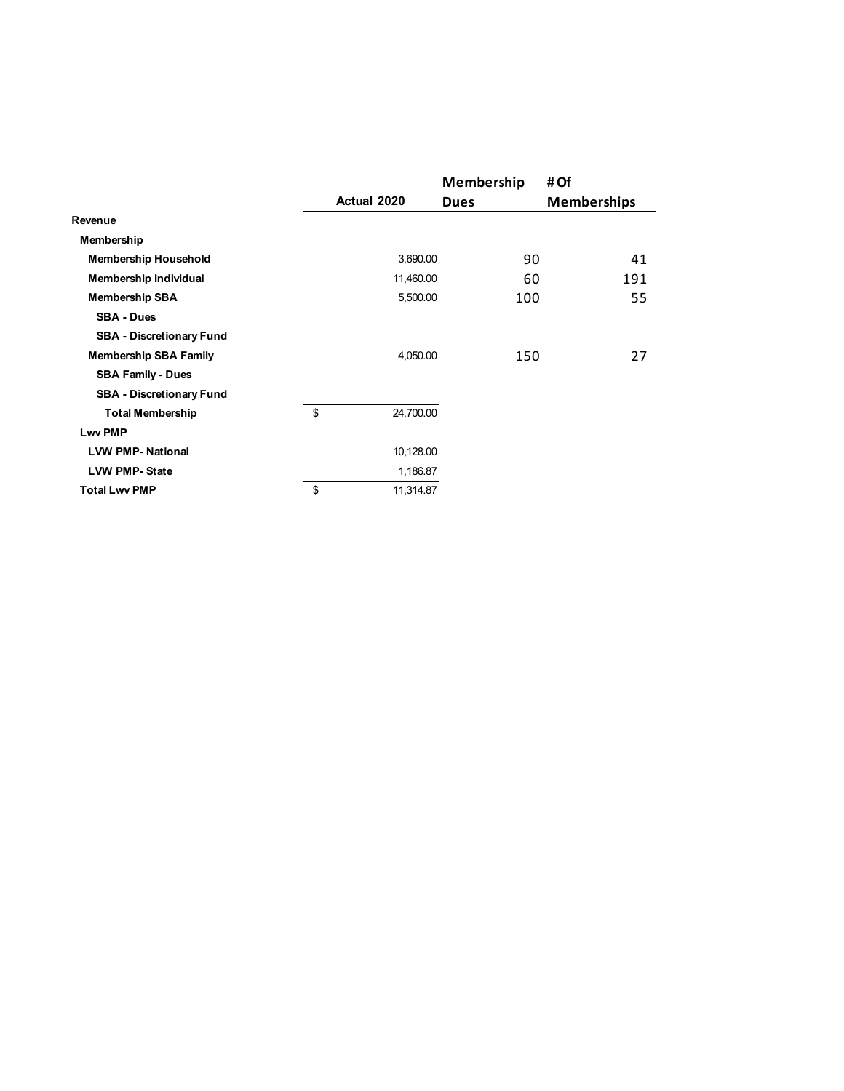|                                 |                 | Membership  | # Of               |
|---------------------------------|-----------------|-------------|--------------------|
|                                 | Actual 2020     | <b>Dues</b> | <b>Memberships</b> |
| Revenue                         |                 |             |                    |
| Membership                      |                 |             |                    |
| <b>Membership Household</b>     | 3,690.00        | 90          | 41                 |
| Membership Individual           | 11,460.00       | 60          | 191                |
| <b>Membership SBA</b>           | 5,500.00        | 100         | 55                 |
| <b>SBA - Dues</b>               |                 |             |                    |
| <b>SBA - Discretionary Fund</b> |                 |             |                    |
| <b>Membership SBA Family</b>    | 4,050.00        | 150         | 27                 |
| <b>SBA Family - Dues</b>        |                 |             |                    |
| <b>SBA - Discretionary Fund</b> |                 |             |                    |
| <b>Total Membership</b>         | \$<br>24,700.00 |             |                    |
| <b>Lwv PMP</b>                  |                 |             |                    |
| <b>LVW PMP-National</b>         | 10,128.00       |             |                    |
| <b>LVW PMP-State</b>            | 1,186.87        |             |                    |
| <b>Total Lwv PMP</b>            | \$<br>11,314.87 |             |                    |